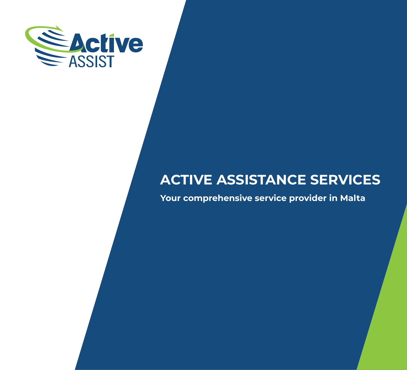

### **ACTIVE ASSISTANCE SERVICES**

**Your comprehensive service provider in Malta**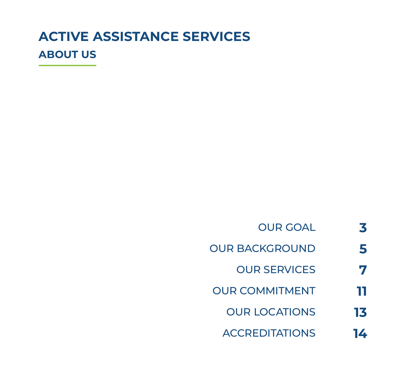# **ACTIVE ASSISTANCE SERVICES ABOUT US**

- OUR GOAL **3**
- OUR BACKGROUND **5**
	- OUR SERVICES **7**
- OUR COMMITMENT **11**
	- OUR LOCATIONS **13**
	- ACCREDITATIONS **14**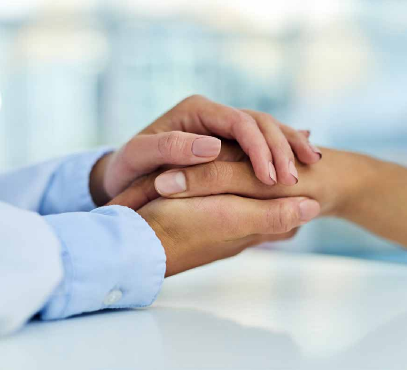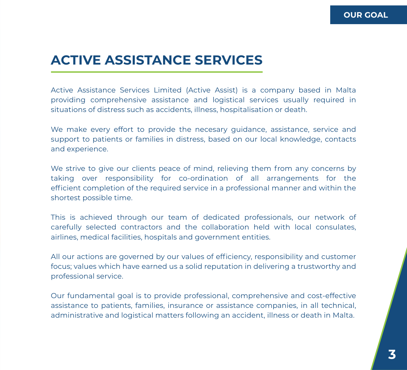#### **ACTIVE ASSISTANCE SERVICES**

Active Assistance Services Limited (Active Assist) is a company based in Malta providing comprehensive assistance and logistical services usually required in situations of distress such as accidents, illness, hospitalisation or death.

We make every effort to provide the necesary guidance, assistance, service and support to patients or families in distress, based on our local knowledge, contacts and experience.

We strive to give our clients peace of mind, relieving them from any concerns by taking over responsibility for co-ordination of all arrangements for the efficient completion of the required service in a professional manner and within the shortest possible time.

This is achieved through our team of dedicated professionals, our network of carefully selected contractors and the collaboration held with local consulates, airlines, medical facilities, hospitals and government entities.

All our actions are governed by our values of efficiency, responsibility and customer focus; values which have earned us a solid reputation in delivering a trustworthy and professional service.

Our fundamental goal is to provide professional, comprehensive and cost-effective assistance to patients, families, insurance or assistance companies, in all technical, administrative and logistical matters following an accident, illness or death in Malta.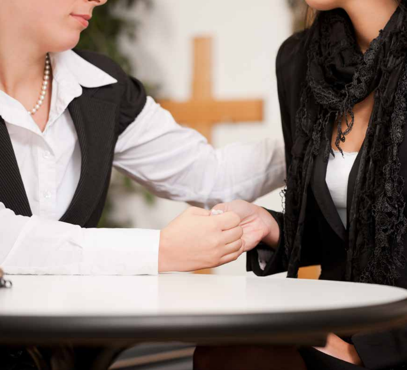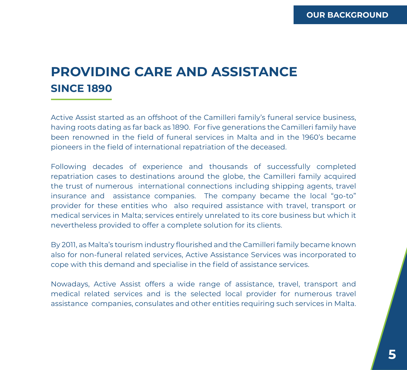### **PROVIDING CARE AND ASSISTANCE SINCE 1890**

Active Assist started as an offshoot of the Camilleri family's funeral service business, having roots dating as far back as 1890. For five generations the Camilleri family have been renowned in the field of funeral services in Malta and in the 1960's became pioneers in the field of international repatriation of the deceased.

Following decades of experience and thousands of successfully completed repatriation cases to destinations around the globe, the Camilleri family acquired the trust of numerous international connections including shipping agents, travel insurance and assistance companies. The company became the local "go-to" provider for these entities who also required assistance with travel, transport or medical services in Malta; services entirely unrelated to its core business but which it nevertheless provided to offer a complete solution for its clients.

By 2011, as Malta's tourism industry flourished and the Camilleri family became known also for non-funeral related services, Active Assistance Services was incorporated to cope with this demand and specialise in the field of assistance services.

Nowadays, Active Assist offers a wide range of assistance, travel, transport and medical related services and is the selected local provider for numerous travel assistance companies, consulates and other entities requiring such services in Malta.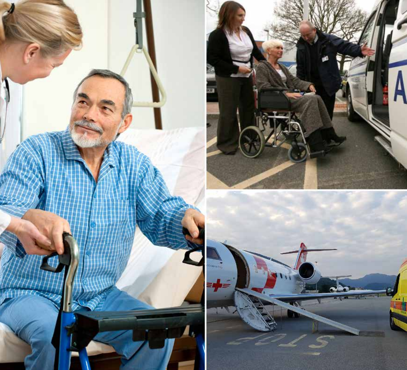

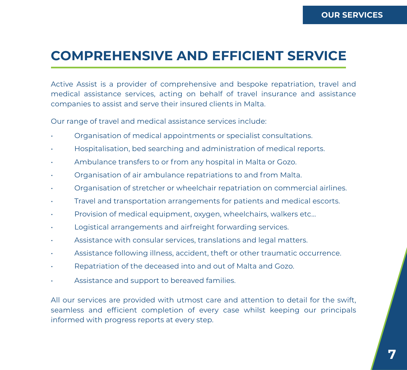### **COMPREHENSIVE AND EFFICIENT SERVICE**

Active Assist is a provider of comprehensive and bespoke repatriation, travel and medical assistance services, acting on behalf of travel insurance and assistance companies to assist and serve their insured clients in Malta.

Our range of travel and medical assistance services include:

- Organisation of medical appointments or specialist consultations.
- Hospitalisation, bed searching and administration of medical reports.
- Ambulance transfers to or from any hospital in Malta or Gozo.
- Organisation of air ambulance repatriations to and from Malta.
- Organisation of stretcher or wheelchair repatriation on commercial airlines.
- Travel and transportation arrangements for patients and medical escorts.
- Provision of medical equipment, oxygen, wheelchairs, walkers etc…
- Logistical arrangements and airfreight forwarding services.
- Assistance with consular services, translations and legal matters.
- Assistance following illness, accident, theft or other traumatic occurrence.
- Repatriation of the deceased into and out of Malta and Gozo.
- Assistance and support to bereaved families.

All our services are provided with utmost care and attention to detail for the swift, seamless and efficient completion of every case whilst keeping our principals informed with progress reports at every step.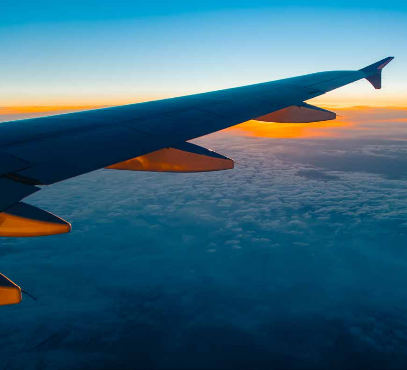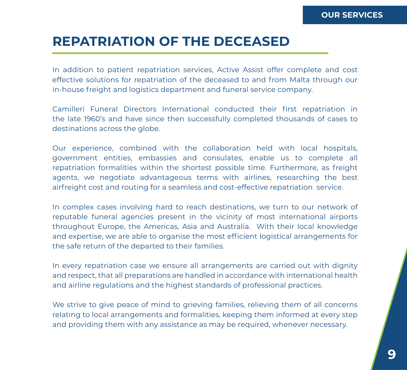#### **REPATRIATION OF THE DECEASED**

In addition to patient repatriation services, Active Assist offer complete and cost effective solutions for repatriation of the deceased to and from Malta through our in-house freight and logistics department and funeral service company.

Camilleri Funeral Directors International conducted their first repatriation in the late 1960's and have since then successfully completed thousands of cases to destinations across the globe.

Our experience, combined with the collaboration held with local hospitals, government entities, embassies and consulates, enable us to complete all repatriation formalities within the shortest possible time. Furthermore, as freight agents, we negotiate advantageous terms with airlines, researching the best airfreight cost and routing for a seamless and cost-effective repatriation service.

In complex cases involving hard to reach destinations, we turn to our network of reputable funeral agencies present in the vicinity of most international airports throughout Europe, the Americas, Asia and Australia. With their local knowledge and expertise, we are able to organise the most efficient logistical arrangements for the safe return of the departed to their families.

In every repatriation case we ensure all arrangements are carried out with dignity and respect, that all preparations are handled in accordance with international health and airline regulations and the highest standards of professional practices.

We strive to give peace of mind to grieving families, relieving them of all concerns relating to local arrangements and formalities, keeping them informed at every step and providing them with any assistance as may be required, whenever necessary.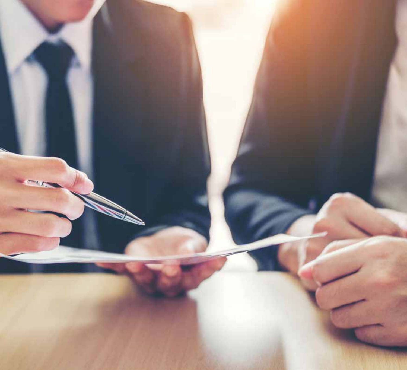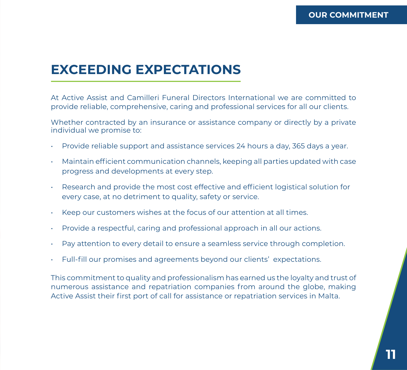### **EXCEEDING EXPECTATIONS**

At Active Assist and Camilleri Funeral Directors International we are committed to provide reliable, comprehensive, caring and professional services for all our clients.

Whether contracted by an insurance or assistance company or directly by a private individual we promise to:

- Provide reliable support and assistance services 24 hours a day, 365 days a year.
- Maintain efficient communication channels, keeping all parties updated with case progress and developments at every step.
- Research and provide the most cost effective and efficient logistical solution for every case, at no detriment to quality, safety or service.
- Keep our customers wishes at the focus of our attention at all times.
- Provide a respectful, caring and professional approach in all our actions.
- Pay attention to every detail to ensure a seamless service through completion.
- Full-fill our promises and agreements beyond our clients' expectations.

This commitment to quality and professionalism has earned us the loyalty and trust of numerous assistance and repatriation companies from around the globe, making Active Assist their first port of call for assistance or repatriation services in Malta.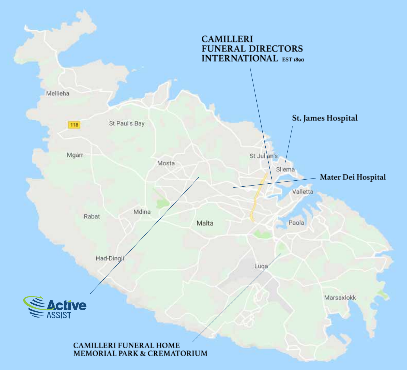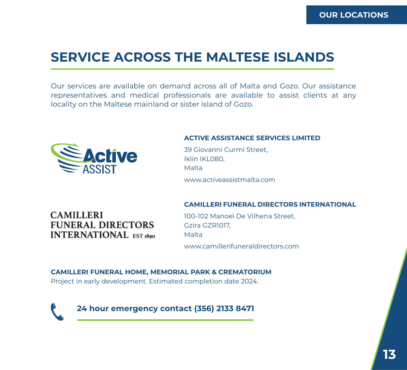### **SERVICE ACROSS THE MALTESE ISLANDS**

Our services are available on demand across all of Malta and Gozo. Our assistance representatives and medical professionals are available to assist clients at any locality on the Maltese mainland or sister island of Gozo.



#### **ACTIVE ASSISTANCE SERVICES LIMITED**

39 Giovanni Curmi Street, Iklin IKL080, Malta www.activeassistmalta.com

#### **CAMILLERI FUNERAL DIRECTORS INTERNATIONAL**

**CAMILLERI FUNERAL DIRECTORS INTERNATIONAL EST 1890** 

100-102 Manoel De Vilhena Street, Gzira GZR1017, Malta

www.camillerifuneraldirectors.com

**CAMILLERI FUNERAL HOME, MEMORIAL PARK & CREMATORIUM** Project in early development. Estimated completion date 2024.

**24 hour emergency contact (356) 2133 8471**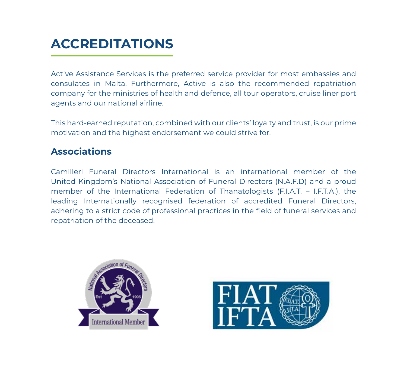## **ACCREDITATIONS**

Active Assistance Services is the preferred service provider for most embassies and consulates in Malta. Furthermore, Active is also the recommended repatriation company for the ministries of health and defence, all tour operators, cruise liner port agents and our national airline.

This hard-earned reputation, combined with our clients' loyalty and trust, is our prime motivation and the highest endorsement we could strive for.

#### **Associations**

Camilleri Funeral Directors International is an international member of the United Kingdom's National Association of Funeral Directors (N.A.F.D) and a proud member of the International Federation of Thanatologists (F.I.A.T. – I.F.T.A.), the leading Internationally recognised federation of accredited Funeral Directors, adhering to a strict code of professional practices in the field of funeral services and repatriation of the deceased.